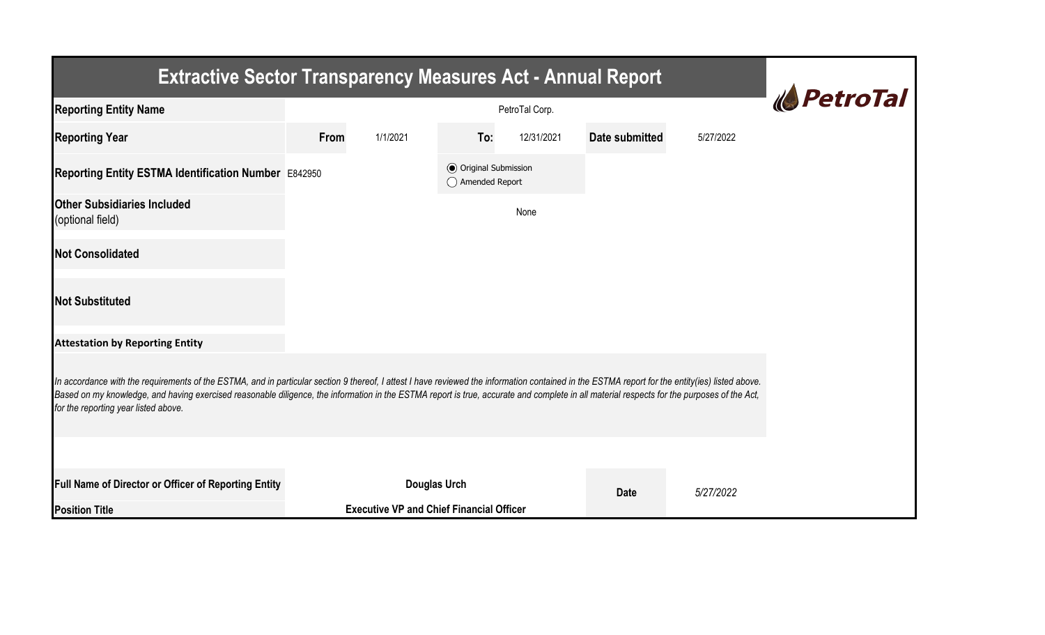| <b>Extractive Sector Transparency Measures Act - Annual Report</b>                                                                                                                                                                                                                                                                                                                                                                    |      |                                                 |                                                  |            |                |           |  |  |  |  |
|---------------------------------------------------------------------------------------------------------------------------------------------------------------------------------------------------------------------------------------------------------------------------------------------------------------------------------------------------------------------------------------------------------------------------------------|------|-------------------------------------------------|--------------------------------------------------|------------|----------------|-----------|--|--|--|--|
| <b>Reporting Entity Name</b>                                                                                                                                                                                                                                                                                                                                                                                                          |      | <b><i><u> <i>NetroTal</i></u></i></b>           |                                                  |            |                |           |  |  |  |  |
| <b>Reporting Year</b>                                                                                                                                                                                                                                                                                                                                                                                                                 | From | 1/1/2021                                        | To:                                              | 12/31/2021 | Date submitted | 5/27/2022 |  |  |  |  |
| Reporting Entity ESTMA Identification Number E842950                                                                                                                                                                                                                                                                                                                                                                                  |      |                                                 | <b>◎</b> Original Submission<br>◯ Amended Report |            |                |           |  |  |  |  |
| <b>Other Subsidiaries Included</b><br>(optional field)                                                                                                                                                                                                                                                                                                                                                                                |      |                                                 |                                                  | None       |                |           |  |  |  |  |
| <b>Not Consolidated</b>                                                                                                                                                                                                                                                                                                                                                                                                               |      |                                                 |                                                  |            |                |           |  |  |  |  |
| <b>Not Substituted</b>                                                                                                                                                                                                                                                                                                                                                                                                                |      |                                                 |                                                  |            |                |           |  |  |  |  |
| <b>Attestation by Reporting Entity</b>                                                                                                                                                                                                                                                                                                                                                                                                |      |                                                 |                                                  |            |                |           |  |  |  |  |
| In accordance with the requirements of the ESTMA, and in particular section 9 thereof, I attest I have reviewed the information contained in the ESTMA report for the entity(ies) listed above.<br>Based on my knowledge, and having exercised reasonable diligence, the information in the ESTMA report is true, accurate and complete in all material respects for the purposes of the Act,<br>for the reporting year listed above. |      |                                                 |                                                  |            |                |           |  |  |  |  |
|                                                                                                                                                                                                                                                                                                                                                                                                                                       |      |                                                 |                                                  |            |                |           |  |  |  |  |
| Full Name of Director or Officer of Reporting Entity                                                                                                                                                                                                                                                                                                                                                                                  |      | <b>Douglas Urch</b>                             |                                                  |            | <b>Date</b>    | 5/27/2022 |  |  |  |  |
| <b>Position Title</b>                                                                                                                                                                                                                                                                                                                                                                                                                 |      | <b>Executive VP and Chief Financial Officer</b> |                                                  |            |                |           |  |  |  |  |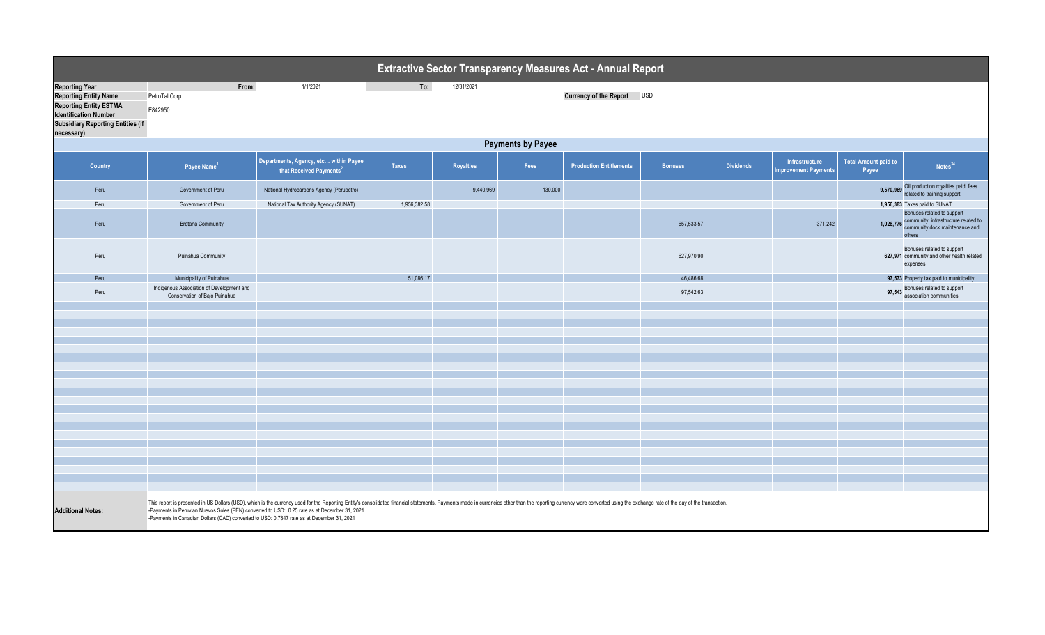| Extractive Sector Transparency Measures Act - Annual Report                                                                                                                      |                                                                                                                                                                                                                                                                                                                                                                                                                            |                                                                              |              |                  |         |                                |                |                  |                                               |                                      |                                                                                                                |
|----------------------------------------------------------------------------------------------------------------------------------------------------------------------------------|----------------------------------------------------------------------------------------------------------------------------------------------------------------------------------------------------------------------------------------------------------------------------------------------------------------------------------------------------------------------------------------------------------------------------|------------------------------------------------------------------------------|--------------|------------------|---------|--------------------------------|----------------|------------------|-----------------------------------------------|--------------------------------------|----------------------------------------------------------------------------------------------------------------|
| <b>Reporting Year</b><br><b>Reporting Entity Name</b><br><b>Reporting Entity ESTMA</b><br><b>Identification Number</b><br><b>Subsidiary Reporting Entities (if</b><br>necessary) | To:<br>From:<br>1/1/2021<br>12/31/2021<br><b>Currency of the Report</b><br><b>USD</b><br>PetroTal Corp.<br>E842950                                                                                                                                                                                                                                                                                                         |                                                                              |              |                  |         |                                |                |                  |                                               |                                      |                                                                                                                |
|                                                                                                                                                                                  | <b>Payments by Payee</b>                                                                                                                                                                                                                                                                                                                                                                                                   |                                                                              |              |                  |         |                                |                |                  |                                               |                                      |                                                                                                                |
| Country                                                                                                                                                                          | Payee Name <sup>1</sup>                                                                                                                                                                                                                                                                                                                                                                                                    | Departments, Agency, etc within Payee<br>that Received Payments <sup>2</sup> | <b>Taxes</b> | <b>Royalties</b> | Fees    | <b>Production Entitlements</b> | <b>Bonuses</b> | <b>Dividends</b> | Infrastructure<br><b>Improvement Payments</b> | <b>Total Amount paid to</b><br>Payee | Notes <sup>34</sup>                                                                                            |
| Peru                                                                                                                                                                             | Government of Peru                                                                                                                                                                                                                                                                                                                                                                                                         | National Hydrocarbons Agency (Perupetro)                                     |              | 9,440,969        | 130,000 |                                |                |                  |                                               |                                      | 9,570,969 Oil production royalties paid, fees<br>related to training support                                   |
| Peru                                                                                                                                                                             | Government of Peru                                                                                                                                                                                                                                                                                                                                                                                                         | National Tax Authority Agency (SUNAT)                                        | 1,956,382.58 |                  |         |                                |                |                  |                                               |                                      | 1,956,383 Taxes paid to SUNAT                                                                                  |
| Peru                                                                                                                                                                             | <b>Bretana Community</b>                                                                                                                                                                                                                                                                                                                                                                                                   |                                                                              |              |                  |         |                                | 657,533.57     |                  | 371,242                                       | 1,028,776                            | Bonuses related to support<br>community, infrastructure related to<br>community dock maintenance and<br>others |
| Peru                                                                                                                                                                             | Puinahua Community                                                                                                                                                                                                                                                                                                                                                                                                         |                                                                              |              |                  |         |                                | 627,970.90     |                  |                                               |                                      | Bonuses related to support<br>627,971 community and other health related<br>expenses                           |
| Peru                                                                                                                                                                             | Municipality of Puinahua                                                                                                                                                                                                                                                                                                                                                                                                   |                                                                              | 51,086.17    |                  |         |                                | 46,486.68      |                  |                                               |                                      | 97,573 Property tax paid to municipality                                                                       |
| Peru                                                                                                                                                                             | Indigenous Association of Development and<br>Conservation of Bajo Puinahua                                                                                                                                                                                                                                                                                                                                                 |                                                                              |              |                  |         |                                | 97,542.63      |                  |                                               |                                      | 97,543 Bonuses related to support<br>association communities                                                   |
|                                                                                                                                                                                  |                                                                                                                                                                                                                                                                                                                                                                                                                            |                                                                              |              |                  |         |                                |                |                  |                                               |                                      |                                                                                                                |
|                                                                                                                                                                                  |                                                                                                                                                                                                                                                                                                                                                                                                                            |                                                                              |              |                  |         |                                |                |                  |                                               |                                      |                                                                                                                |
|                                                                                                                                                                                  |                                                                                                                                                                                                                                                                                                                                                                                                                            |                                                                              |              |                  |         |                                |                |                  |                                               |                                      |                                                                                                                |
|                                                                                                                                                                                  |                                                                                                                                                                                                                                                                                                                                                                                                                            |                                                                              |              |                  |         |                                |                |                  |                                               |                                      |                                                                                                                |
|                                                                                                                                                                                  |                                                                                                                                                                                                                                                                                                                                                                                                                            |                                                                              |              |                  |         |                                |                |                  |                                               |                                      |                                                                                                                |
|                                                                                                                                                                                  |                                                                                                                                                                                                                                                                                                                                                                                                                            |                                                                              |              |                  |         |                                |                |                  |                                               |                                      |                                                                                                                |
|                                                                                                                                                                                  |                                                                                                                                                                                                                                                                                                                                                                                                                            |                                                                              |              |                  |         |                                |                |                  |                                               |                                      |                                                                                                                |
|                                                                                                                                                                                  |                                                                                                                                                                                                                                                                                                                                                                                                                            |                                                                              |              |                  |         |                                |                |                  |                                               |                                      |                                                                                                                |
|                                                                                                                                                                                  |                                                                                                                                                                                                                                                                                                                                                                                                                            |                                                                              |              |                  |         |                                |                |                  |                                               |                                      |                                                                                                                |
|                                                                                                                                                                                  |                                                                                                                                                                                                                                                                                                                                                                                                                            |                                                                              |              |                  |         |                                |                |                  |                                               |                                      |                                                                                                                |
|                                                                                                                                                                                  |                                                                                                                                                                                                                                                                                                                                                                                                                            |                                                                              |              |                  |         |                                |                |                  |                                               |                                      |                                                                                                                |
|                                                                                                                                                                                  |                                                                                                                                                                                                                                                                                                                                                                                                                            |                                                                              |              |                  |         |                                |                |                  |                                               |                                      |                                                                                                                |
|                                                                                                                                                                                  |                                                                                                                                                                                                                                                                                                                                                                                                                            |                                                                              |              |                  |         |                                |                |                  |                                               |                                      |                                                                                                                |
|                                                                                                                                                                                  |                                                                                                                                                                                                                                                                                                                                                                                                                            |                                                                              |              |                  |         |                                |                |                  |                                               |                                      |                                                                                                                |
|                                                                                                                                                                                  |                                                                                                                                                                                                                                                                                                                                                                                                                            |                                                                              |              |                  |         |                                |                |                  |                                               |                                      |                                                                                                                |
|                                                                                                                                                                                  |                                                                                                                                                                                                                                                                                                                                                                                                                            |                                                                              |              |                  |         |                                |                |                  |                                               |                                      |                                                                                                                |
| <b>Additional Notes:</b>                                                                                                                                                         | This report is presented in US Dollars (USD), which is the currency used for the Reporting Entity's consolidated financial statements. Payments made in currencies other than the reporting currency were converted using the<br>-Payments in Peruvian Nuevos Soles (PEN) converted to USD: 0.25 rate as at December 31, 2021<br>-Payments in Canadian Dollars (CAD) converted to USD: 0.7847 rate as at December 31, 2021 |                                                                              |              |                  |         |                                |                |                  |                                               |                                      |                                                                                                                |